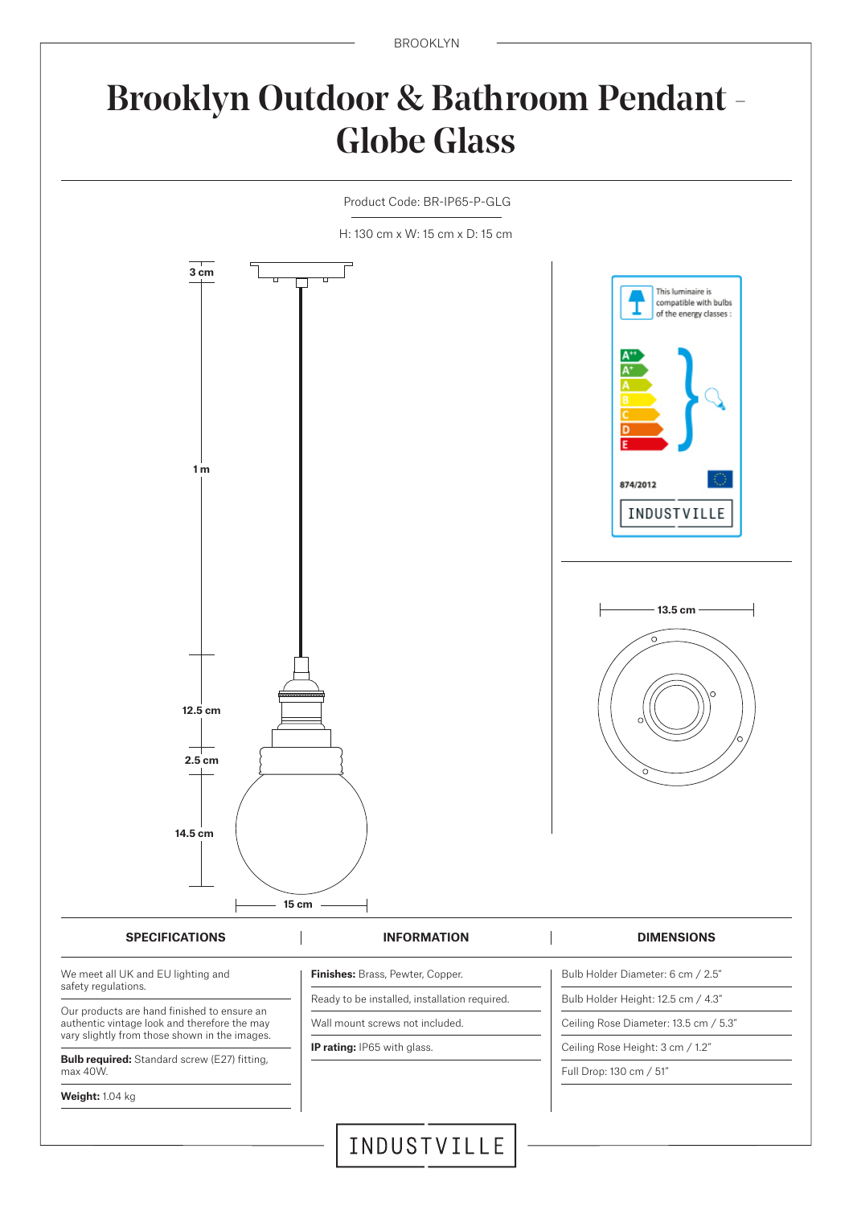BROOKLYN

# Brooklyn Outdoor & Bathroom Pendant - Globe Glass

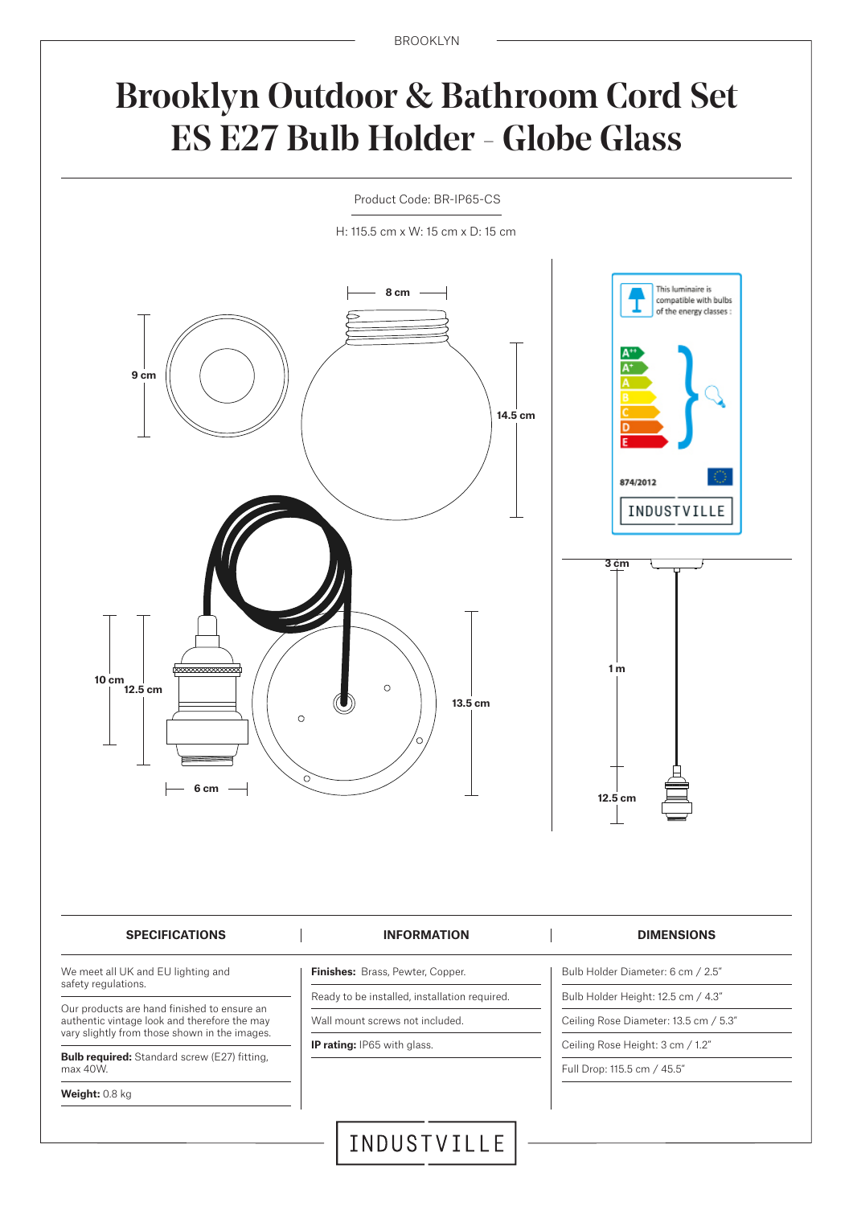## Brooklyn Outdoor & Bathroom Cord Set ES E27 Bulb Holder - Globe Glass